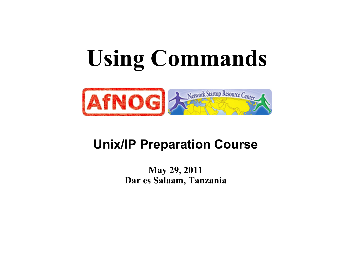# **Using Commands**



### **Unix/IP Preparation Course**

#### **May 29, 2011 Dar es Salaam, Tanzania**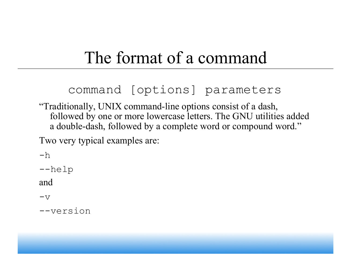## The format of a command

### command [options] parameters

"Traditionally, UNIX command-line options consist of a dash, followed by one or more lowercase letters. The GNU utilities added a double-dash, followed by a complete word or compound word."

Two very typical examples are:

 $-h$ --help and  $v -$ --version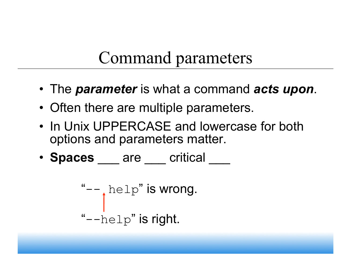## Command parameters

- The *parameter* is what a command *acts upon*.
- Often there are multiple parameters.
- In Unix UPPERCASE and lowercase for both options and parameters matter.
- **Spaces** are critical

"-- help" is wrong. "--help" is right.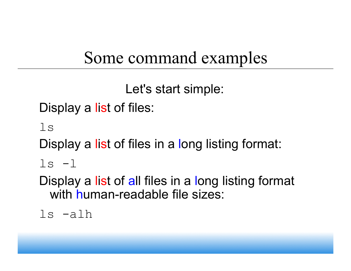## Some command examples

Let's start simple:

Display a list of files:

ls

Display a list of files in a long listing format:

 $ls -1$ 

Display a list of all files in a long listing format with human-readable file sizes:

ls -alh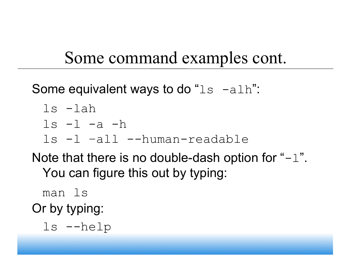## Some command examples cont.

Some equivalent ways to do " $ls$  -alh":

- ls -lah
- $ls -l -a -h$
- ls -l –all --human-readable

Note that there is no double-dash option for " $-1$ ". You can figure this out by typing:

man ls Or by typing:

ls --help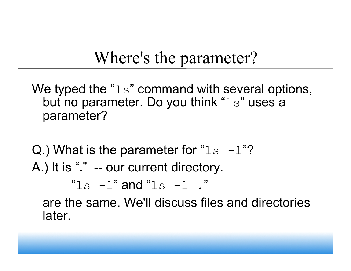## Where's the parameter?

We typed the " $\text{ls}$ " command with several options, but no parameter. Do you think "ls" uses a parameter?

Q.) What is the parameter for " $\text{ls}$  -1"? A.) It is "." -- our current directory.

" $\log$  -l" and " $\log$  -l"

are the same. We'll discuss files and directories later.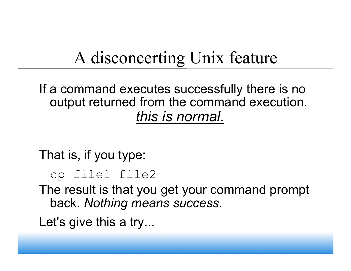## A disconcerting Unix feature

### If a command executes successfully there is no output returned from the command execution. *this is normal*.

That is, if you type:

```
cp file1 file2
```
The result is that you get your command prompt back. *Nothing means success*.

Let's give this a try...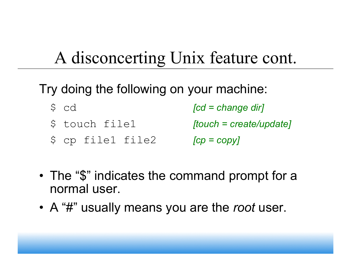## A disconcerting Unix feature cont.

### Try doing the following on your machine:

- \$ cd *[cd = change dir]*
- \$ touch file1 *[touch = create/update]*
- \$ cp file1 file2 *[cp = copy]*
- The "\$" indicates the command prompt for a normal user.
- A "#" usually means you are the *root* user.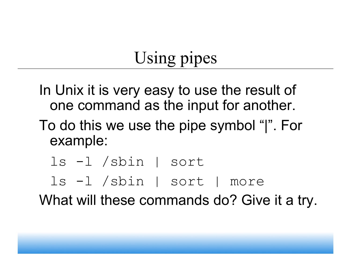## Using pipes

- In Unix it is very easy to use the result of one command as the input for another.
- To do this we use the pipe symbol "|". For example:
	- ls -l /sbin | sort
	- ls -l /sbin | sort | more

What will these commands do? Give it a try.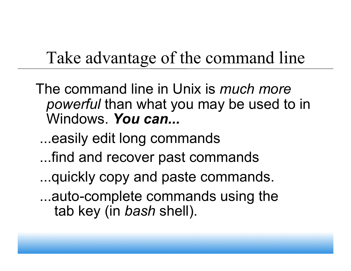## Take advantage of the command line

- The command line in Unix is *much more powerful* than what you may be used to in Windows. *You can...* 
	- ...easily edit long commands
	- ...find and recover past commands
	- ...quickly copy and paste commands.
	- ...auto-complete commands using the tab key (in *bash* shell).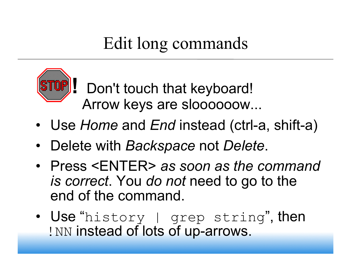## Edit long commands



 **!** Don't touch that keyboard! Arrow keys are sloooooow...

- Use *Home* and *End* instead (ctrl-a, shift-a)
- Delete with *Backspace* not *Delete*.
- Press <ENTER> *as soon as the command is correct*. You *do not* need to go to the end of the command.
- Use "history | grep string", then ! NN instead of lots of up-arrows.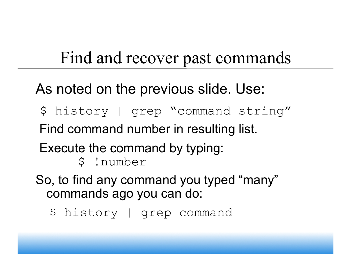## Find and recover past commands

### As noted on the previous slide. Use:

- \$ history | grep "command string" Find command number in resulting list.
- Execute the command by typing:
	- \$ !number
- So, to find any command you typed "many" commands ago you can do:
	- \$ history | grep command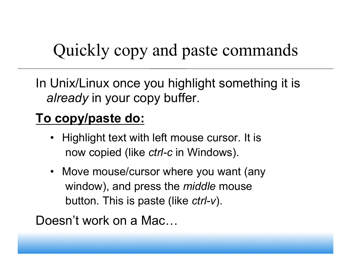## Quickly copy and paste commands

In Unix/Linux once you highlight something it is *already* in your copy buffer.

### **To copy/paste do:**

- Highlight text with left mouse cursor. It is now copied (like *ctrl-c* in Windows).
- Move mouse/cursor where you want (any window), and press the *middle* mouse button. This is paste (like *ctrl-v*).

Doesn't work on a Mac...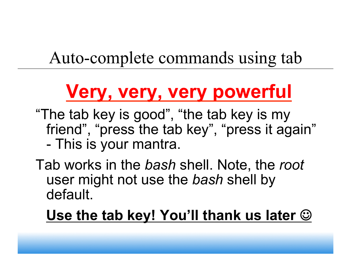## Auto-complete commands using tab

## **Very, very, very powerful**

"The tab key is good", "the tab key is my friend", "press the tab key", "press it again" - This is your mantra.

Tab works in the *bash* shell. Note, the *root* user might not use the *bash* shell by default.

**Use the tab key! You'll thank us later**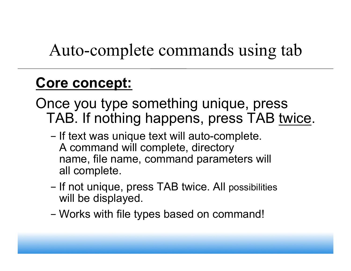## Auto-complete commands using tab

### **Core concept:**

Once you type something unique, press TAB. If nothing happens, press TAB twice.

- If text was unique text will auto-complete. A command will complete, directory name, file name, command parameters will all complete.
- If not unique, press TAB twice. All possibilities will be displayed.
- Works with file types based on command!